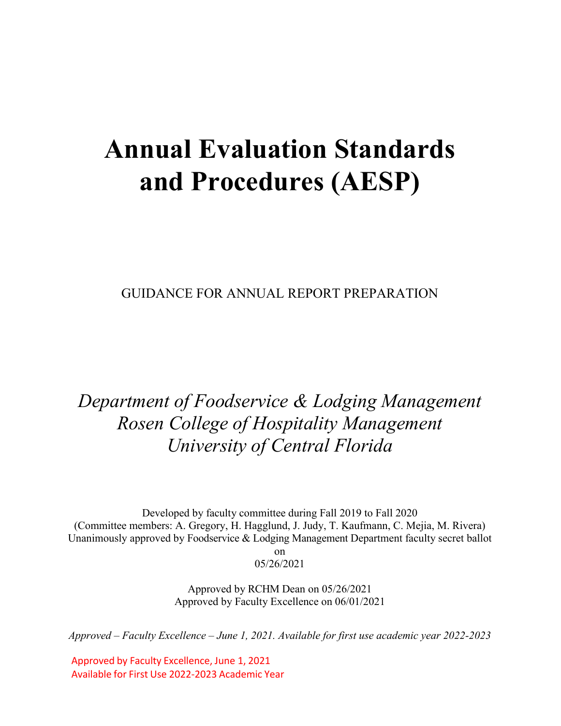# **Annual Evaluation Standards and Procedures (AESP)**

GUIDANCE FOR ANNUAL REPORT PREPARATION

# *Department of Foodservice & Lodging Management Rosen College of Hospitality Management University of Central Florida*

Developed by faculty committee during Fall 2019 to Fall 2020 (Committee members: A. Gregory, H. Hagglund, J. Judy, T. Kaufmann, C. Mejia, M. Rivera) Unanimously approved by Foodservice & Lodging Management Department faculty secret ballot

> on 05/26/2021

Approved by RCHM Dean on 05/26/2021 Approved by Faculty Excellence on 06/01/2021

*Approved – Faculty Excellence – June 1, 2021. Available for first use academic year 2022-2023*

Approved by Faculty Excellence, June 1, 2021 Available for First Use 2022-2023 Academic Year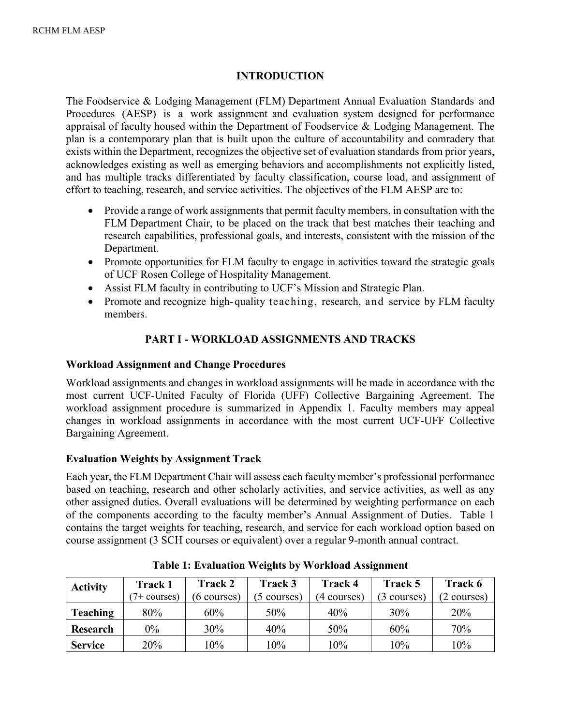# **INTRODUCTION**

The Foodservice & Lodging Management (FLM) Department Annual Evaluation Standards and Procedures (AESP) is a work assignment and evaluation system designed for performance appraisal of faculty housed within the Department of Foodservice & Lodging Management. The plan is a contemporary plan that is built upon the culture of accountability and comradery that exists within the Department, recognizes the objective set of evaluation standards from prior years, acknowledges existing as well as emerging behaviors and accomplishments not explicitly listed, and has multiple tracks differentiated by faculty classification, course load, and assignment of effort to teaching, research, and service activities. The objectives of the FLM AESP are to:

- Provide a range of work assignments that permit faculty members, in consultation with the FLM Department Chair, to be placed on the track that best matches their teaching and research capabilities, professional goals, and interests, consistent with the mission of the Department.
- Promote opportunities for FLM faculty to engage in activities toward the strategic goals of UCF Rosen College of Hospitality Management.
- Assist FLM faculty in contributing to UCF's Mission and Strategic Plan.
- Promote and recognize high-quality teaching, research, and service by FLM faculty members.

# **PART I - WORKLOAD ASSIGNMENTS AND TRACKS**

#### **Workload Assignment and Change Procedures**

Workload assignments and changes in workload assignments will be made in accordance with the most current UCF-United Faculty of Florida (UFF) Collective Bargaining Agreement. The workload assignment procedure is summarized in Appendix 1. Faculty members may appeal changes in workload assignments in accordance with the most current UCF-UFF Collective Bargaining Agreement.

# **Evaluation Weights by Assignment Track**

Each year, the FLM Department Chair will assess each faculty member's professional performance based on teaching, research and other scholarly activities, and service activities, as well as any other assigned duties. Overall evaluations will be determined by weighting performance on each of the components according to the faculty member's Annual Assignment of Duties. Table 1 contains the target weights for teaching, research, and service for each workload option based on course assignment (3 SCH courses or equivalent) over a regular 9-month annual contract.

| <b>Activity</b> | <b>Track 1</b> | Track 2               | Track 3               | Track 4     | Track 5               | Track 6               |
|-----------------|----------------|-----------------------|-----------------------|-------------|-----------------------|-----------------------|
|                 | $7+$ courses)  | $(6 \text{ courses})$ | $(5 \text{ courses})$ | (4 courses) | $(3 \text{ courses})$ | $(2 \text{ courses})$ |
| <b>Teaching</b> | 80%            | 60%                   | 50%                   | 40%         | 30%                   | 20%                   |
| Research        | $0\%$          | 30%                   | 40%                   | 50%         | 60%                   | 70%                   |
| <b>Service</b>  | 20%            | 10%                   | $10\%$                | 10%         | 10%                   | 10%                   |

**Table 1: Evaluation Weights by Workload Assignment**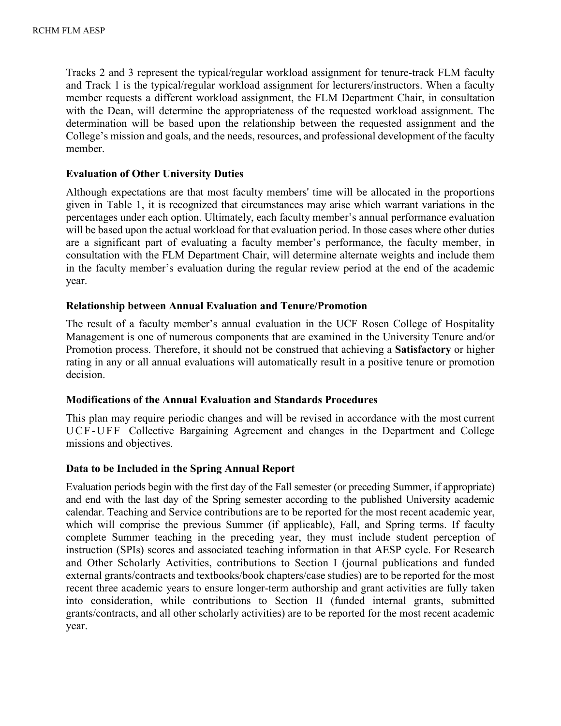Tracks 2 and 3 represent the typical/regular workload assignment for tenure-track FLM faculty and Track 1 is the typical/regular workload assignment for lecturers/instructors. When a faculty member requests a different workload assignment, the FLM Department Chair, in consultation with the Dean, will determine the appropriateness of the requested workload assignment. The determination will be based upon the relationship between the requested assignment and the College's mission and goals, and the needs, resources, and professional development of the faculty member.

#### **Evaluation of Other University Duties**

Although expectations are that most faculty members' time will be allocated in the proportions given in Table 1, it is recognized that circumstances may arise which warrant variations in the percentages under each option. Ultimately, each faculty member's annual performance evaluation will be based upon the actual workload for that evaluation period. In those cases where other duties are a significant part of evaluating a faculty member's performance, the faculty member, in consultation with the FLM Department Chair, will determine alternate weights and include them in the faculty member's evaluation during the regular review period at the end of the academic year.

#### **Relationship between Annual Evaluation and Tenure/Promotion**

The result of a faculty member's annual evaluation in the UCF Rosen College of Hospitality Management is one of numerous components that are examined in the University Tenure and/or Promotion process. Therefore, it should not be construed that achieving a **Satisfactory** or higher rating in any or all annual evaluations will automatically result in a positive tenure or promotion decision.

#### **Modifications of the Annual Evaluation and Standards Procedures**

This plan may require periodic changes and will be revised in accordance with the most current UCF-UFF Collective Bargaining Agreement and changes in the Department and College missions and objectives.

#### **Data to be Included in the Spring Annual Report**

Evaluation periods begin with the first day of the Fall semester (or preceding Summer, if appropriate) and end with the last day of the Spring semester according to the published University academic calendar. Teaching and Service contributions are to be reported for the most recent academic year, which will comprise the previous Summer (if applicable), Fall, and Spring terms. If faculty complete Summer teaching in the preceding year, they must include student perception of instruction (SPIs) scores and associated teaching information in that AESP cycle. For Research and Other Scholarly Activities, contributions to Section I (journal publications and funded external grants/contracts and textbooks/book chapters/case studies) are to be reported for the most recent three academic years to ensure longer-term authorship and grant activities are fully taken into consideration, while contributions to Section II (funded internal grants, submitted grants/contracts, and all other scholarly activities) are to be reported for the most recent academic year.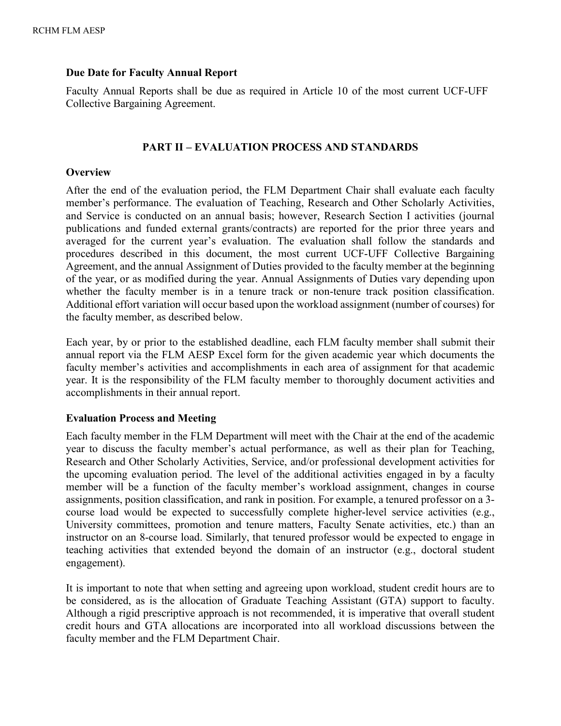#### **Due Date for Faculty Annual Report**

Faculty Annual Reports shall be due as required in Article 10 of the most current UCF-UFF Collective Bargaining Agreement.

# **PART II – EVALUATION PROCESS AND STANDARDS**

#### **Overview**

After the end of the evaluation period, the FLM Department Chair shall evaluate each faculty member's performance. The evaluation of Teaching, Research and Other Scholarly Activities, and Service is conducted on an annual basis; however, Research Section I activities (journal publications and funded external grants/contracts) are reported for the prior three years and averaged for the current year's evaluation. The evaluation shall follow the standards and procedures described in this document, the most current UCF-UFF Collective Bargaining Agreement, and the annual Assignment of Duties provided to the faculty member at the beginning of the year, or as modified during the year. Annual Assignments of Duties vary depending upon whether the faculty member is in a tenure track or non-tenure track position classification. Additional effort variation will occur based upon the workload assignment (number of courses) for the faculty member, as described below.

Each year, by or prior to the established deadline, each FLM faculty member shall submit their annual report via the FLM AESP Excel form for the given academic year which documents the faculty member's activities and accomplishments in each area of assignment for that academic year. It is the responsibility of the FLM faculty member to thoroughly document activities and accomplishments in their annual report.

#### **Evaluation Process and Meeting**

Each faculty member in the FLM Department will meet with the Chair at the end of the academic year to discuss the faculty member's actual performance, as well as their plan for Teaching, Research and Other Scholarly Activities, Service, and/or professional development activities for the upcoming evaluation period. The level of the additional activities engaged in by a faculty member will be a function of the faculty member's workload assignment, changes in course assignments, position classification, and rank in position. For example, a tenured professor on a 3 course load would be expected to successfully complete higher-level service activities (e.g., University committees, promotion and tenure matters, Faculty Senate activities, etc.) than an instructor on an 8-course load. Similarly, that tenured professor would be expected to engage in teaching activities that extended beyond the domain of an instructor (e.g., doctoral student engagement).

It is important to note that when setting and agreeing upon workload, student credit hours are to be considered, as is the allocation of Graduate Teaching Assistant (GTA) support to faculty. Although a rigid prescriptive approach is not recommended, it is imperative that overall student credit hours and GTA allocations are incorporated into all workload discussions between the faculty member and the FLM Department Chair.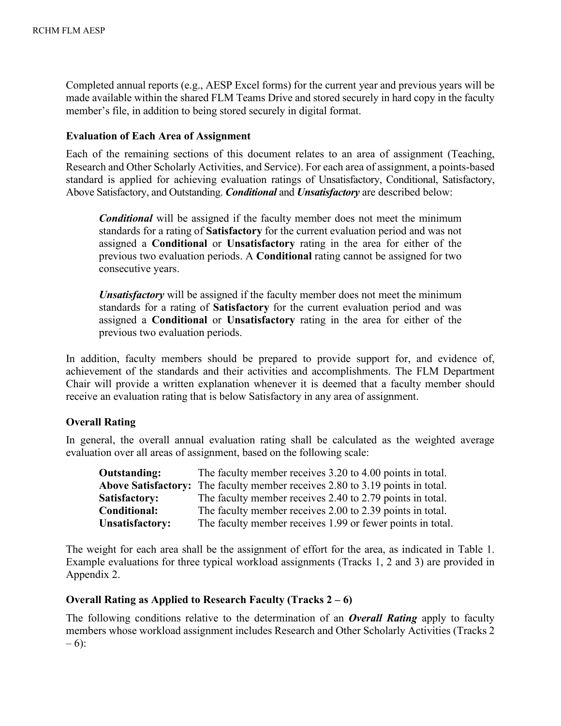Completed annual reports (e.g., AESP Excel forms) for the current year and previous years will be made available within the shared FLM Teams Drive and stored securely in hard copy in the faculty member's file, in addition to being stored securely in digital format.

#### **Evaluation of Each Area of Assignment**

Each of the remaining sections of this document relates to an area of assignment (Teaching, Research and Other Scholarly Activities, and Service). For each area of assignment, a points-based standard is applied for achieving evaluation ratings of Unsatisfactory, Conditional, Satisfactory, Above Satisfactory, and Outstanding. *Conditional* and *Unsatisfactory* are described below:

*Conditional* will be assigned if the faculty member does not meet the minimum standards for a rating of **Satisfactory** for the current evaluation period and was not assigned a **Conditional** or **Unsatisfactory** rating in the area for either of the previous two evaluation periods. A **Conditional** rating cannot be assigned for two consecutive years.

*Unsatisfactory* will be assigned if the faculty member does not meet the minimum standards for a rating of **Satisfactory** for the current evaluation period and was assigned a **Conditional** or **Unsatisfactory** rating in the area for either of the previous two evaluation periods.

In addition, faculty members should be prepared to provide support for, and evidence of, achievement of the standards and their activities and accomplishments. The FLM Department Chair will provide a written explanation whenever it is deemed that a faculty member should receive an evaluation rating that is below Satisfactory in any area of assignment.

#### **Overall Rating**

In general, the overall annual evaluation rating shall be calculated as the weighted average evaluation over all areas of assignment, based on the following scale:

| <b>Outstanding:</b>    | The faculty member receives 3.20 to 4.00 points in total.                     |
|------------------------|-------------------------------------------------------------------------------|
|                        | Above Satisfactory: The faculty member receives 2.80 to 3.19 points in total. |
| Satisfactory:          | The faculty member receives 2.40 to 2.79 points in total.                     |
| <b>Conditional:</b>    | The faculty member receives 2.00 to 2.39 points in total.                     |
| <b>Unsatisfactory:</b> | The faculty member receives 1.99 or fewer points in total.                    |

The weight for each area shall be the assignment of effort for the area, as indicated in Table 1. Example evaluations for three typical workload assignments (Tracks 1, 2 and 3) are provided in Appendix 2.

#### **Overall Rating as Applied to Research Faculty (Tracks 2 – 6)**

The following conditions relative to the determination of an *Overall Rating* apply to faculty members whose workload assignment includes Research and Other Scholarly Activities (Tracks 2  $-6$ :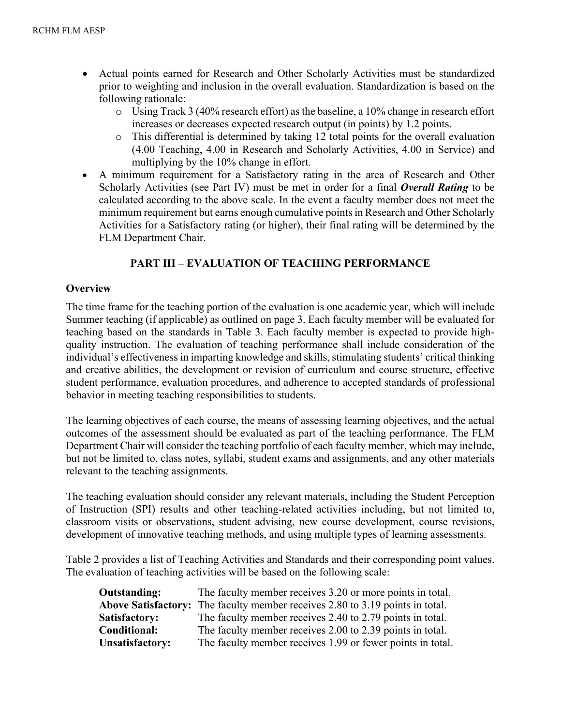- Actual points earned for Research and Other Scholarly Activities must be standardized prior to weighting and inclusion in the overall evaluation. Standardization is based on the following rationale:
	- o Using Track 3 (40% research effort) as the baseline, a 10% change in research effort increases or decreases expected research output (in points) by 1.2 points.
	- o This differential is determined by taking 12 total points for the overall evaluation (4.00 Teaching, 4.00 in Research and Scholarly Activities, 4.00 in Service) and multiplying by the 10% change in effort.
- A minimum requirement for a Satisfactory rating in the area of Research and Other Scholarly Activities (see Part IV) must be met in order for a final *Overall Rating* to be calculated according to the above scale. In the event a faculty member does not meet the minimum requirement but earns enough cumulative points in Research and Other Scholarly Activities for a Satisfactory rating (or higher), their final rating will be determined by the FLM Department Chair.

# **PART III – EVALUATION OF TEACHING PERFORMANCE**

#### **Overview**

The time frame for the teaching portion of the evaluation is one academic year, which will include Summer teaching (if applicable) as outlined on page 3. Each faculty member will be evaluated for teaching based on the standards in Table 3. Each faculty member is expected to provide highquality instruction. The evaluation of teaching performance shall include consideration of the individual's effectiveness in imparting knowledge and skills, stimulating students' critical thinking and creative abilities, the development or revision of curriculum and course structure, effective student performance, evaluation procedures, and adherence to accepted standards of professional behavior in meeting teaching responsibilities to students.

The learning objectives of each course, the means of assessing learning objectives, and the actual outcomes of the assessment should be evaluated as part of the teaching performance. The FLM Department Chair will consider the teaching portfolio of each faculty member, which may include, but not be limited to, class notes, syllabi, student exams and assignments, and any other materials relevant to the teaching assignments.

The teaching evaluation should consider any relevant materials, including the Student Perception of Instruction (SPI) results and other teaching-related activities including, but not limited to, classroom visits or observations, student advising, new course development, course revisions, development of innovative teaching methods, and using multiple types of learning assessments.

Table 2 provides a list of Teaching Activities and Standards and their corresponding point values. The evaluation of teaching activities will be based on the following scale:

| <b>Outstanding:</b>    | The faculty member receives 3.20 or more points in total.                     |
|------------------------|-------------------------------------------------------------------------------|
|                        | Above Satisfactory: The faculty member receives 2.80 to 3.19 points in total. |
| <b>Satisfactory:</b>   | The faculty member receives 2.40 to 2.79 points in total.                     |
| <b>Conditional:</b>    | The faculty member receives 2.00 to 2.39 points in total.                     |
| <b>Unsatisfactory:</b> | The faculty member receives 1.99 or fewer points in total.                    |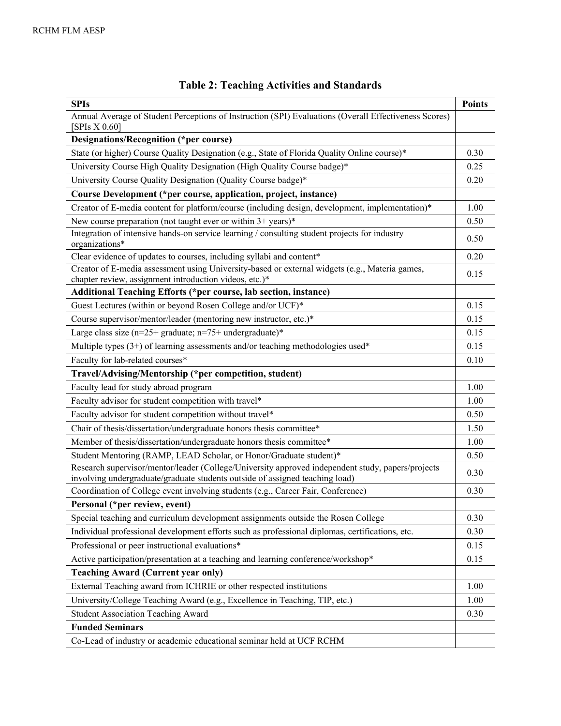| <b>Table 2: Teaching Activities and Standards</b> |  |  |  |  |  |  |  |  |  |
|---------------------------------------------------|--|--|--|--|--|--|--|--|--|
|---------------------------------------------------|--|--|--|--|--|--|--|--|--|

| <b>SPIs</b>                                                                                                                                                                       | <b>Points</b> |
|-----------------------------------------------------------------------------------------------------------------------------------------------------------------------------------|---------------|
| Annual Average of Student Perceptions of Instruction (SPI) Evaluations (Overall Effectiveness Scores)<br>[SPIs $X$ 0.60]                                                          |               |
| Designations/Recognition (*per course)                                                                                                                                            |               |
| State (or higher) Course Quality Designation (e.g., State of Florida Quality Online course)*                                                                                      | 0.30          |
| University Course High Quality Designation (High Quality Course badge)*                                                                                                           | 0.25          |
| University Course Quality Designation (Quality Course badge)*                                                                                                                     | 0.20          |
| Course Development (*per course, application, project, instance)                                                                                                                  |               |
| Creator of E-media content for platform/course (including design, development, implementation)*                                                                                   | 1.00          |
| New course preparation (not taught ever or within $3+$ years)*                                                                                                                    | 0.50          |
| Integration of intensive hands-on service learning / consulting student projects for industry<br>organizations*                                                                   | 0.50          |
| Clear evidence of updates to courses, including syllabi and content*                                                                                                              | 0.20          |
| Creator of E-media assessment using University-based or external widgets (e.g., Materia games,<br>chapter review, assignment introduction videos, etc.)*                          | 0.15          |
| Additional Teaching Efforts (*per course, lab section, instance)                                                                                                                  |               |
| Guest Lectures (within or beyond Rosen College and/or UCF)*                                                                                                                       | 0.15          |
| Course supervisor/mentor/leader (mentoring new instructor, etc.)*                                                                                                                 | 0.15          |
| Large class size ( $n=25+$ graduate; $n=75+$ undergraduate)*                                                                                                                      | 0.15          |
| Multiple types (3+) of learning assessments and/or teaching methodologies used*                                                                                                   | 0.15          |
| Faculty for lab-related courses*                                                                                                                                                  | 0.10          |
| Travel/Advising/Mentorship (*per competition, student)                                                                                                                            |               |
| Faculty lead for study abroad program                                                                                                                                             | 1.00          |
| Faculty advisor for student competition with travel*                                                                                                                              | 1.00          |
| Faculty advisor for student competition without travel*                                                                                                                           | 0.50          |
| Chair of thesis/dissertation/undergraduate honors thesis committee*                                                                                                               | 1.50          |
| Member of thesis/dissertation/undergraduate honors thesis committee*                                                                                                              | 1.00          |
| Student Mentoring (RAMP, LEAD Scholar, or Honor/Graduate student)*                                                                                                                | 0.50          |
| Research supervisor/mentor/leader (College/University approved independent study, papers/projects<br>involving undergraduate/graduate students outside of assigned teaching load) | 0.30          |
| Coordination of College event involving students (e.g., Career Fair, Conference)                                                                                                  | 0.30          |
| Personal (*per review, event)                                                                                                                                                     |               |
| Special teaching and curriculum development assignments outside the Rosen College                                                                                                 | 0.30          |
| Individual professional development efforts such as professional diplomas, certifications, etc.                                                                                   | 0.30          |
| Professional or peer instructional evaluations*                                                                                                                                   | 0.15          |
| Active participation/presentation at a teaching and learning conference/workshop*                                                                                                 | 0.15          |
| <b>Teaching Award (Current year only)</b>                                                                                                                                         |               |
| External Teaching award from ICHRIE or other respected institutions                                                                                                               | 1.00          |
| University/College Teaching Award (e.g., Excellence in Teaching, TIP, etc.)                                                                                                       | 1.00          |
| <b>Student Association Teaching Award</b>                                                                                                                                         | 0.30          |
| <b>Funded Seminars</b>                                                                                                                                                            |               |
| Co-Lead of industry or academic educational seminar held at UCF RCHM                                                                                                              |               |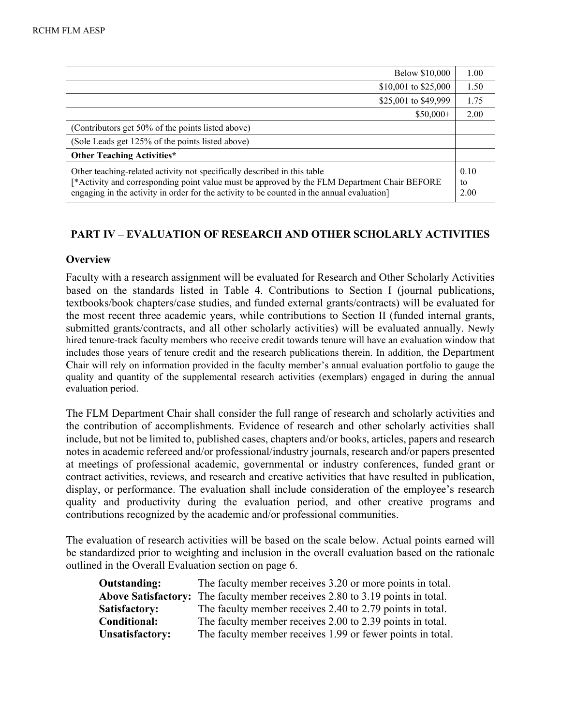| Below \$10,000                                                                                                                                                                                                                                                         | 1.00 |
|------------------------------------------------------------------------------------------------------------------------------------------------------------------------------------------------------------------------------------------------------------------------|------|
| \$10,001 to \$25,000                                                                                                                                                                                                                                                   | 1.50 |
| \$25,001 to \$49,999                                                                                                                                                                                                                                                   | 1.75 |
| $$50,000+$                                                                                                                                                                                                                                                             | 2.00 |
| (Contributors get 50% of the points listed above)                                                                                                                                                                                                                      |      |
| (Sole Leads get 125% of the points listed above)                                                                                                                                                                                                                       |      |
| <b>Other Teaching Activities*</b>                                                                                                                                                                                                                                      |      |
| Other teaching-related activity not specifically described in this table<br>[*Activity and corresponding point value must be approved by the FLM Department Chair BEFORE<br>engaging in the activity in order for the activity to be counted in the annual evaluation] |      |

# **PART IV – EVALUATION OF RESEARCH AND OTHER SCHOLARLY ACTIVITIES**

#### **Overview**

Faculty with a research assignment will be evaluated for Research and Other Scholarly Activities based on the standards listed in Table 4. Contributions to Section I (journal publications, textbooks/book chapters/case studies, and funded external grants/contracts) will be evaluated for the most recent three academic years, while contributions to Section II (funded internal grants, submitted grants/contracts, and all other scholarly activities) will be evaluated annually. Newly hired tenure-track faculty members who receive credit towards tenure will have an evaluation window that includes those years of tenure credit and the research publications therein. In addition, the Department Chair will rely on information provided in the faculty member's annual evaluation portfolio to gauge the quality and quantity of the supplemental research activities (exemplars) engaged in during the annual evaluation period.

The FLM Department Chair shall consider the full range of research and scholarly activities and the contribution of accomplishments. Evidence of research and other scholarly activities shall include, but not be limited to, published cases, chapters and/or books, articles, papers and research notes in academic refereed and/or professional/industry journals, research and/or papers presented at meetings of professional academic, governmental or industry conferences, funded grant or contract activities, reviews, and research and creative activities that have resulted in publication, display, or performance. The evaluation shall include consideration of the employee's research quality and productivity during the evaluation period, and other creative programs and contributions recognized by the academic and/or professional communities.

The evaluation of research activities will be based on the scale below. Actual points earned will be standardized prior to weighting and inclusion in the overall evaluation based on the rationale outlined in the Overall Evaluation section on page 6.

| <b>Outstanding:</b>    | The faculty member receives 3.20 or more points in total.                     |
|------------------------|-------------------------------------------------------------------------------|
|                        | Above Satisfactory: The faculty member receives 2.80 to 3.19 points in total. |
| Satisfactory:          | The faculty member receives 2.40 to 2.79 points in total.                     |
| <b>Conditional:</b>    | The faculty member receives 2.00 to 2.39 points in total.                     |
| <b>Unsatisfactory:</b> | The faculty member receives 1.99 or fewer points in total.                    |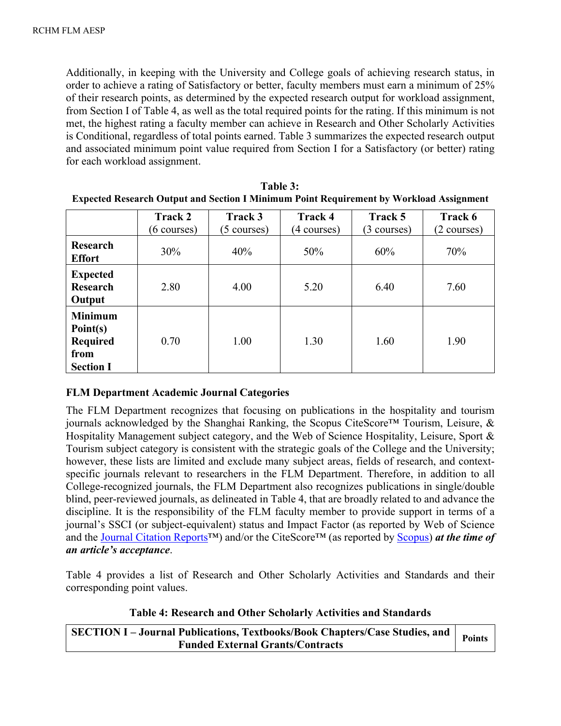Additionally, in keeping with the University and College goals of achieving research status, in order to achieve a rating of Satisfactory or better, faculty members must earn a minimum of 25% of their research points, as determined by the expected research output for workload assignment, from Section I of Table 4, as well as the total required points for the rating. If this minimum is not met, the highest rating a faculty member can achieve in Research and Other Scholarly Activities is Conditional, regardless of total points earned. Table 3 summarizes the expected research output and associated minimum point value required from Section I for a Satisfactory (or better) rating for each workload assignment.

|                                                                           | Track 2<br>$(6 \text{ courses})$ | Track 3<br>$(5 \text{ courses})$ | Track 4<br>(4 courses) | Track 5<br>$(3 \text{ courses})$ | Track 6<br>$(2 \text{ courses})$ |
|---------------------------------------------------------------------------|----------------------------------|----------------------------------|------------------------|----------------------------------|----------------------------------|
| <b>Research</b><br><b>Effort</b>                                          | 30%                              | 40%                              | 50%                    | 60%                              | 70%                              |
| <b>Expected</b><br><b>Research</b><br>Output                              | 2.80                             | 4.00                             | 5.20                   | 6.40                             | 7.60                             |
| <b>Minimum</b><br>Point(s)<br><b>Required</b><br>from<br><b>Section I</b> | 0.70                             | 1.00                             | 1.30                   | 1.60                             | 1.90                             |

| Table 3:                                                                                       |
|------------------------------------------------------------------------------------------------|
| <b>Expected Research Output and Section I Minimum Point Requirement by Workload Assignment</b> |

#### **FLM Department Academic Journal Categories**

The FLM Department recognizes that focusing on publications in the hospitality and tourism journals acknowledged by the Shanghai Ranking, the Scopus CiteScore™ Tourism, Leisure, & Hospitality Management subject category, and the Web of Science Hospitality, Leisure, Sport & Tourism subject category is consistent with the strategic goals of the College and the University; however, these lists are limited and exclude many subject areas, fields of research, and contextspecific journals relevant to researchers in the FLM Department. Therefore, in addition to all College-recognized journals, the FLM Department also recognizes publications in single/double blind, peer-reviewed journals, as delineated in Table 4, that are broadly related to and advance the discipline. It is the responsibility of the FLM faculty member to provide support in terms of a journal's SSCI (or subject-equivalent) status and Impact Factor (as reported by Web of Science and the [Journal Citation Reports™](https://mjl.clarivate.com/home)) and/or the CiteScore™ (as reported by [Scopus\)](https://www.scopus.com/sources) *at the time of an article's acceptance*.

Table 4 provides a list of Research and Other Scholarly Activities and Standards and their corresponding point values.

#### **Table 4: Research and Other Scholarly Activities and Standards**

**SECTION I – Journal Publications, Textbooks/Book Chapters/Case Studies, and Funded External Grants/Contracts Points**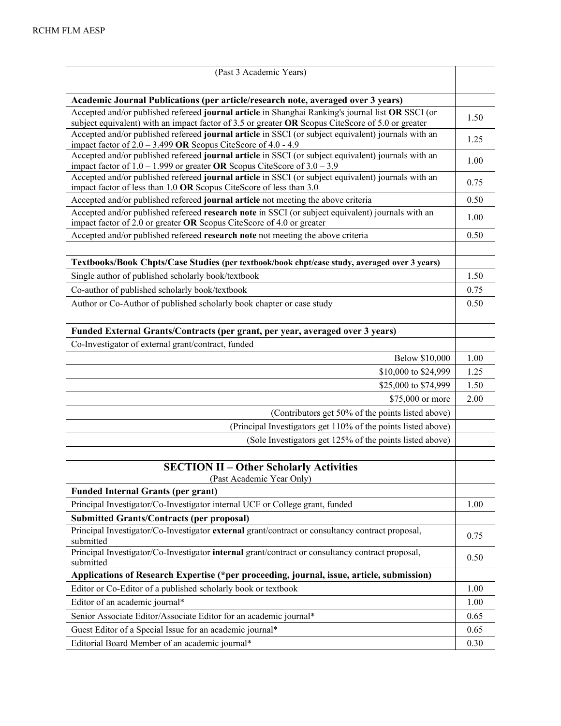| (Past 3 Academic Years)                                                                                                                                                                                |      |
|--------------------------------------------------------------------------------------------------------------------------------------------------------------------------------------------------------|------|
| Academic Journal Publications (per article/research note, averaged over 3 years)                                                                                                                       |      |
| Accepted and/or published refereed journal article in Shanghai Ranking's journal list OR SSCI (or<br>subject equivalent) with an impact factor of 3.5 or greater OR Scopus CiteScore of 5.0 or greater | 1.50 |
| Accepted and/or published refereed journal article in SSCI (or subject equivalent) journals with an<br>impact factor of $2.0 - 3.499$ OR Scopus CiteScore of 4.0 - 4.9                                 | 1.25 |
| Accepted and/or published refereed journal article in SSCI (or subject equivalent) journals with an<br>impact factor of $1.0 - 1.999$ or greater OR Scopus CiteScore of $3.0 - 3.9$                    | 1.00 |
| Accepted and/or published refereed journal article in SSCI (or subject equivalent) journals with an<br>impact factor of less than 1.0 OR Scopus CiteScore of less than 3.0                             | 0.75 |
| Accepted and/or published refereed journal article not meeting the above criteria                                                                                                                      | 0.50 |
| Accepted and/or published refereed research note in SSCI (or subject equivalent) journals with an<br>impact factor of 2.0 or greater OR Scopus CiteScore of 4.0 or greater                             | 1.00 |
| Accepted and/or published refereed research note not meeting the above criteria                                                                                                                        | 0.50 |
|                                                                                                                                                                                                        |      |
| Textbooks/Book Chpts/Case Studies (per textbook/book chpt/case study, averaged over 3 years)                                                                                                           |      |
| Single author of published scholarly book/textbook                                                                                                                                                     | 1.50 |
| Co-author of published scholarly book/textbook                                                                                                                                                         | 0.75 |
| Author or Co-Author of published scholarly book chapter or case study                                                                                                                                  | 0.50 |
|                                                                                                                                                                                                        |      |
| Funded External Grants/Contracts (per grant, per year, averaged over 3 years)                                                                                                                          |      |
| Co-Investigator of external grant/contract, funded                                                                                                                                                     |      |
| <b>Below \$10,000</b>                                                                                                                                                                                  | 1.00 |
| \$10,000 to \$24,999                                                                                                                                                                                   | 1.25 |
| \$25,000 to \$74,999                                                                                                                                                                                   | 1.50 |
| \$75,000 or more                                                                                                                                                                                       | 2.00 |
| (Contributors get 50% of the points listed above)                                                                                                                                                      |      |
| (Principal Investigators get 110% of the points listed above)                                                                                                                                          |      |
| (Sole Investigators get 125% of the points listed above)                                                                                                                                               |      |
|                                                                                                                                                                                                        |      |
| <b>SECTION II - Other Scholarly Activities</b><br>(Past Academic Year Only)                                                                                                                            |      |
| <b>Funded Internal Grants (per grant)</b>                                                                                                                                                              |      |
| Principal Investigator/Co-Investigator internal UCF or College grant, funded                                                                                                                           | 1.00 |
| <b>Submitted Grants/Contracts (per proposal)</b>                                                                                                                                                       |      |
| Principal Investigator/Co-Investigator external grant/contract or consultancy contract proposal,<br>submitted                                                                                          | 0.75 |
| Principal Investigator/Co-Investigator internal grant/contract or consultancy contract proposal,<br>submitted                                                                                          | 0.50 |
| Applications of Research Expertise (*per proceeding, journal, issue, article, submission)                                                                                                              |      |
| Editor or Co-Editor of a published scholarly book or textbook                                                                                                                                          | 1.00 |
| Editor of an academic journal*                                                                                                                                                                         | 1.00 |
| Senior Associate Editor/Associate Editor for an academic journal*                                                                                                                                      | 0.65 |
| Guest Editor of a Special Issue for an academic journal*                                                                                                                                               | 0.65 |
| Editorial Board Member of an academic journal*                                                                                                                                                         | 0.30 |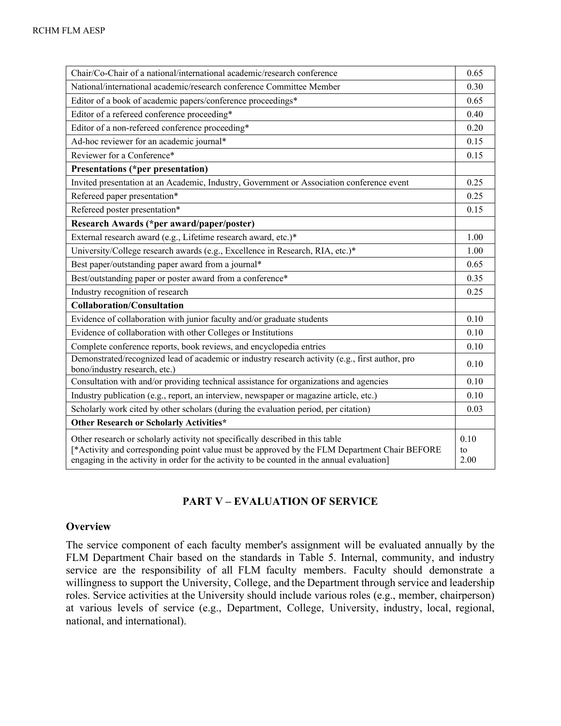| Chair/Co-Chair of a national/international academic/research conference                                                                                                                                                                                                     | 0.65               |
|-----------------------------------------------------------------------------------------------------------------------------------------------------------------------------------------------------------------------------------------------------------------------------|--------------------|
| National/international academic/research conference Committee Member                                                                                                                                                                                                        | 0.30               |
| Editor of a book of academic papers/conference proceedings*                                                                                                                                                                                                                 |                    |
| Editor of a refereed conference proceeding*                                                                                                                                                                                                                                 | 0.40               |
| Editor of a non-refereed conference proceeding*                                                                                                                                                                                                                             | 0.20               |
| Ad-hoc reviewer for an academic journal*                                                                                                                                                                                                                                    | 0.15               |
| Reviewer for a Conference*                                                                                                                                                                                                                                                  | 0.15               |
| <b>Presentations (*per presentation)</b>                                                                                                                                                                                                                                    |                    |
| Invited presentation at an Academic, Industry, Government or Association conference event                                                                                                                                                                                   | 0.25               |
| Refereed paper presentation*                                                                                                                                                                                                                                                | 0.25               |
| Refereed poster presentation*                                                                                                                                                                                                                                               | 0.15               |
| Research Awards (*per award/paper/poster)                                                                                                                                                                                                                                   |                    |
| External research award (e.g., Lifetime research award, etc.)*                                                                                                                                                                                                              | 1.00               |
| University/College research awards (e.g., Excellence in Research, RIA, etc.)*                                                                                                                                                                                               | 1.00               |
| Best paper/outstanding paper award from a journal*                                                                                                                                                                                                                          |                    |
| Best/outstanding paper or poster award from a conference*                                                                                                                                                                                                                   | 0.35               |
| Industry recognition of research                                                                                                                                                                                                                                            | 0.25               |
| <b>Collaboration/Consultation</b>                                                                                                                                                                                                                                           |                    |
| Evidence of collaboration with junior faculty and/or graduate students                                                                                                                                                                                                      | 0.10               |
| Evidence of collaboration with other Colleges or Institutions                                                                                                                                                                                                               | 0.10               |
| Complete conference reports, book reviews, and encyclopedia entries                                                                                                                                                                                                         | 0.10               |
| Demonstrated/recognized lead of academic or industry research activity (e.g., first author, pro<br>bono/industry research, etc.)                                                                                                                                            | 0.10               |
| Consultation with and/or providing technical assistance for organizations and agencies                                                                                                                                                                                      | 0.10               |
| Industry publication (e.g., report, an interview, newspaper or magazine article, etc.)                                                                                                                                                                                      | 0.10               |
| Scholarly work cited by other scholars (during the evaluation period, per citation)                                                                                                                                                                                         |                    |
| <b>Other Research or Scholarly Activities*</b>                                                                                                                                                                                                                              |                    |
| Other research or scholarly activity not specifically described in this table<br>[*Activity and corresponding point value must be approved by the FLM Department Chair BEFORE<br>engaging in the activity in order for the activity to be counted in the annual evaluation] | 0.10<br>to<br>2.00 |

# **PART V – EVALUATION OF SERVICE**

#### **Overview**

The service component of each faculty member's assignment will be evaluated annually by the FLM Department Chair based on the standards in Table 5. Internal, community, and industry service are the responsibility of all FLM faculty members. Faculty should demonstrate a willingness to support the University, College, and the Department through service and leadership roles. Service activities at the University should include various roles (e.g., member, chairperson) at various levels of service (e.g., Department, College, University, industry, local, regional, national, and international).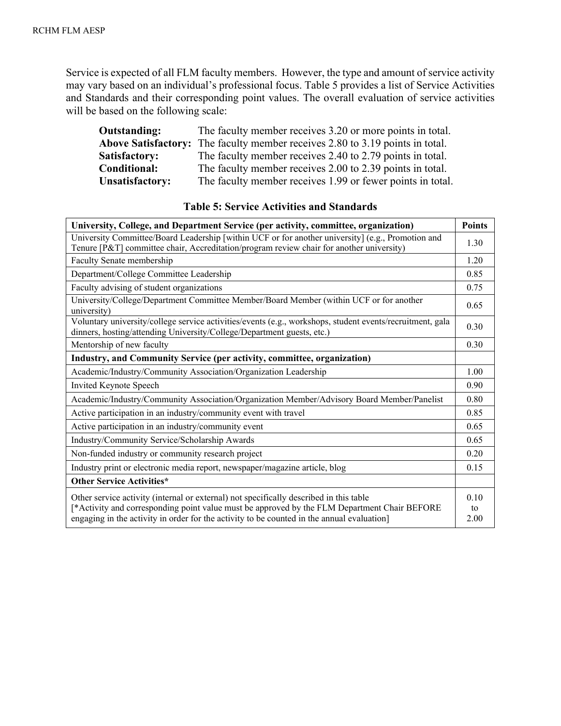Service is expected of all FLM faculty members. However, the type and amount of service activity may vary based on an individual's professional focus. Table 5 provides a list of Service Activities and Standards and their corresponding point values. The overall evaluation of service activities will be based on the following scale:

| <b>Outstanding:</b>    | The faculty member receives 3.20 or more points in total.                     |
|------------------------|-------------------------------------------------------------------------------|
|                        | Above Satisfactory: The faculty member receives 2.80 to 3.19 points in total. |
| <b>Satisfactory:</b>   | The faculty member receives 2.40 to 2.79 points in total.                     |
| <b>Conditional:</b>    | The faculty member receives 2.00 to 2.39 points in total.                     |
| <b>Unsatisfactory:</b> | The faculty member receives 1.99 or fewer points in total.                    |

#### **Table 5: Service Activities and Standards**

| University, College, and Department Service (per activity, committee, organization)                                                                                                                                                                                                  | <b>Points</b>      |
|--------------------------------------------------------------------------------------------------------------------------------------------------------------------------------------------------------------------------------------------------------------------------------------|--------------------|
| University Committee/Board Leadership [within UCF or for another university] (e.g., Promotion and<br>Tenure [P&T] committee chair, Accreditation/program review chair for another university)                                                                                        | 1.30               |
| Faculty Senate membership                                                                                                                                                                                                                                                            | 1.20               |
| Department/College Committee Leadership                                                                                                                                                                                                                                              | 0.85               |
| Faculty advising of student organizations                                                                                                                                                                                                                                            | 0.75               |
| University/College/Department Committee Member/Board Member (within UCF or for another<br>university)                                                                                                                                                                                | 0.65               |
| Voluntary university/college service activities/events (e.g., workshops, student events/recruitment, gala<br>dinners, hosting/attending University/College/Department guests, etc.)                                                                                                  | 0.30               |
| Mentorship of new faculty                                                                                                                                                                                                                                                            | 0.30               |
| Industry, and Community Service (per activity, committee, organization)                                                                                                                                                                                                              |                    |
| Academic/Industry/Community Association/Organization Leadership                                                                                                                                                                                                                      | 1.00               |
| Invited Keynote Speech                                                                                                                                                                                                                                                               | 0.90               |
| Academic/Industry/Community Association/Organization Member/Advisory Board Member/Panelist                                                                                                                                                                                           | 0.80               |
| Active participation in an industry/community event with travel                                                                                                                                                                                                                      | 0.85               |
| Active participation in an industry/community event                                                                                                                                                                                                                                  | 0.65               |
| Industry/Community Service/Scholarship Awards                                                                                                                                                                                                                                        | 0.65               |
| Non-funded industry or community research project                                                                                                                                                                                                                                    | 0.20               |
| Industry print or electronic media report, newspaper/magazine article, blog                                                                                                                                                                                                          | 0.15               |
| <b>Other Service Activities*</b>                                                                                                                                                                                                                                                     |                    |
| Other service activity (internal or external) not specifically described in this table<br>[*Activity and corresponding point value must be approved by the FLM Department Chair BEFORE<br>engaging in the activity in order for the activity to be counted in the annual evaluation] | 0.10<br>to<br>2.00 |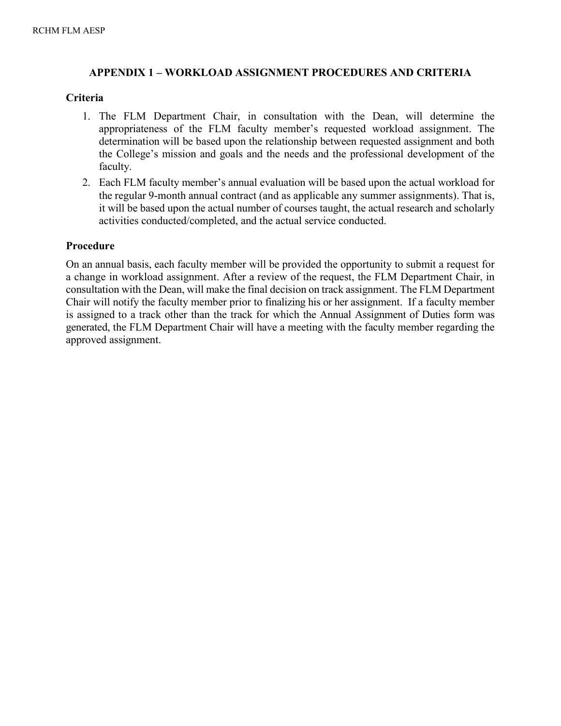# **APPENDIX 1 – WORKLOAD ASSIGNMENT PROCEDURES AND CRITERIA**

#### **Criteria**

- 1. The FLM Department Chair, in consultation with the Dean, will determine the appropriateness of the FLM faculty member's requested workload assignment. The determination will be based upon the relationship between requested assignment and both the College's mission and goals and the needs and the professional development of the faculty.
- 2. Each FLM faculty member's annual evaluation will be based upon the actual workload for the regular 9-month annual contract (and as applicable any summer assignments). That is, it will be based upon the actual number of courses taught, the actual research and scholarly activities conducted/completed, and the actual service conducted.

#### **Procedure**

On an annual basis, each faculty member will be provided the opportunity to submit a request for a change in workload assignment. After a review of the request, the FLM Department Chair, in consultation with the Dean, will make the final decision on track assignment. The FLM Department Chair will notify the faculty member prior to finalizing his or her assignment. If a faculty member is assigned to a track other than the track for which the Annual Assignment of Duties form was generated, the FLM Department Chair will have a meeting with the faculty member regarding the approved assignment.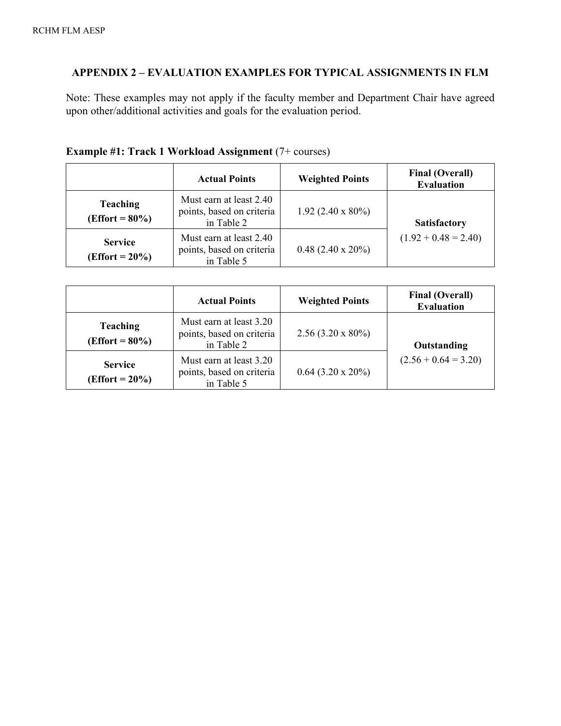# **APPENDIX 2 – EVALUATION EXAMPLES FOR TYPICAL ASSIGNMENTS IN FLM**

Note: These examples may not apply if the faculty member and Department Chair have agreed upon other/additional activities and goals for the evaluation period.

| <b>Example #1: Track 1 Workload Assignment</b> (7+ courses) |  |  |  |  |
|-------------------------------------------------------------|--|--|--|--|
|-------------------------------------------------------------|--|--|--|--|

|                                      | <b>Actual Points</b>                                               | <b>Weighted Points</b> | <b>Final (Overall)</b><br><b>Evaluation</b> |
|--------------------------------------|--------------------------------------------------------------------|------------------------|---------------------------------------------|
| <b>Teaching</b><br>$(Effort = 80\%)$ | Must earn at least 2.40<br>points, based on criteria<br>in Table 2 | $1.92$ (2.40 x 80%)    | <b>Satisfactory</b>                         |
| <b>Service</b><br>$(Effort = 20\%)$  | Must earn at least 2.40<br>points, based on criteria<br>in Table 5 | $0.48$ (2.40 x 20%)    | $(1.92 + 0.48 = 2.40)$                      |

|                                      | <b>Actual Points</b>                                               | <b>Weighted Points</b>   | <b>Final (Overall)</b><br><b>Evaluation</b> |  |
|--------------------------------------|--------------------------------------------------------------------|--------------------------|---------------------------------------------|--|
| <b>Teaching</b><br>$(Effort = 80\%)$ | Must earn at least 3.20<br>points, based on criteria<br>in Table 2 | $2.56(3.20 \times 80\%)$ | Outstanding                                 |  |
| <b>Service</b><br>$(Effort = 20\%)$  | Must earn at least 3.20<br>points, based on criteria<br>in Table 5 | $0.64$ (3.20 x 20%)      | $(2.56 + 0.64 = 3.20)$                      |  |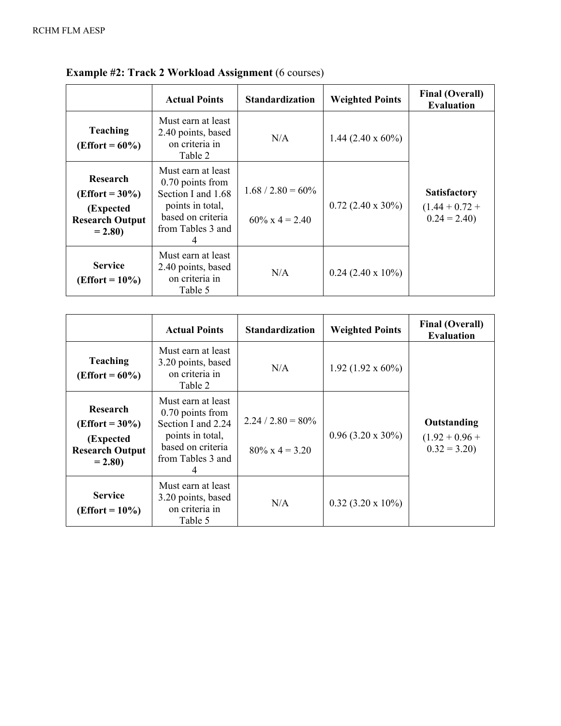|                                                                                  | <b>Actual Points</b>                                                                                                            | <b>Standardization</b>                         | <b>Weighted Points</b>    | <b>Final (Overall)</b><br><b>Evaluation</b>              |
|----------------------------------------------------------------------------------|---------------------------------------------------------------------------------------------------------------------------------|------------------------------------------------|---------------------------|----------------------------------------------------------|
| <b>Teaching</b><br>$(Effort = 60\%)$                                             | Must earn at least<br>2.40 points, based<br>on criteria in<br>Table 2                                                           | N/A                                            | 1.44 $(2.40 \times 60\%)$ |                                                          |
| Research<br>$(Effort = 30\%)$<br>(Expected<br><b>Research Output</b><br>$= 2.80$ | Must earn at least<br>0.70 points from<br>Section I and 1.68<br>points in total,<br>based on criteria<br>from Tables 3 and<br>4 | $1.68 / 2.80 = 60\%$<br>$60\% \times 4 = 2.40$ | $0.72$ (2.40 x 30%)       | <b>Satisfactory</b><br>$(1.44 + 0.72 +$<br>$0.24 = 2.40$ |
| <b>Service</b><br>(Effort = $10\%$ )                                             | Must earn at least<br>2.40 points, based<br>on criteria in<br>Table 5                                                           | N/A                                            | $0.24$ (2.40 x 10%)       |                                                          |

**Example #2: Track 2 Workload Assignment** (6 courses)

|                                                                                  | <b>Actual Points</b>                                                                                                              | <b>Standardization</b>                         | <b>Weighted Points</b>    | <b>Final (Overall)</b><br><b>Evaluation</b>      |
|----------------------------------------------------------------------------------|-----------------------------------------------------------------------------------------------------------------------------------|------------------------------------------------|---------------------------|--------------------------------------------------|
| <b>Teaching</b><br>$(Effort = 60\%)$                                             | Must earn at least<br>3.20 points, based<br>on criteria in<br>Table 2                                                             | N/A                                            | 1.92 $(1.92 \times 60\%)$ |                                                  |
| Research<br>$(Effort = 30\%)$<br>(Expected<br><b>Research Output</b><br>$= 2.80$ | Must earn at least<br>$0.70$ points from<br>Section I and 2.24<br>points in total,<br>based on criteria<br>from Tables 3 and<br>4 | $2.24 / 2.80 = 80\%$<br>$80\% \times 4 = 3.20$ | $0.96$ (3.20 x 30%)       | Outstanding<br>$(1.92 + 0.96 +$<br>$0.32 = 3.20$ |
| <b>Service</b><br>$(Effort = 10\%)$                                              | Must earn at least<br>3.20 points, based<br>on criteria in<br>Table 5                                                             | N/A                                            | $0.32$ (3.20 x 10%)       |                                                  |